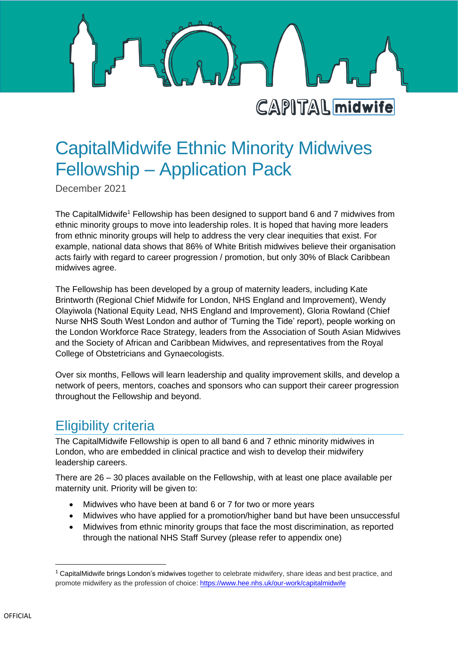

# CapitalMidwife Ethnic Minority Midwives

December 2021

The CapitalMidwife<sup>1</sup> Fellowship has been designed to support band 6 and 7 midwives from ethnic minority groups to move into leadership roles. It is hoped that having more leaders from ethnic minority groups will help to address the very clear inequities that exist. For example, national data shows that 86% of White British midwives believe their organisation acts fairly with regard to career progression / promotion, but only 30% of Black Caribbean midwives agree.

Fellowship – Application Pack

The Fellowship has been developed by a group of maternity leaders, including Kate Brintworth (Regional Chief Midwife for London, NHS England and Improvement), Wendy Olayiwola (National Equity Lead, NHS England and Improvement), Gloria Rowland (Chief Nurse NHS South West London and author of 'Turning the Tide' report), people working on the London Workforce Race Strategy, leaders from the Association of South Asian Midwives and the Society of African and Caribbean Midwives, and representatives from the Royal College of Obstetricians and Gynaecologists.

Over six months, Fellows will learn leadership and quality improvement skills, and develop a network of peers, mentors, coaches and sponsors who can support their career progression throughout the Fellowship and beyond.

### Eligibility criteria

The CapitalMidwife Fellowship is open to all band 6 and 7 ethnic minority midwives in London, who are embedded in clinical practice and wish to develop their midwifery leadership careers.

There are 26 – 30 places available on the Fellowship, with at least one place available per maternity unit. Priority will be given to:

- Midwives who have been at band 6 or 7 for two or more years
- Midwives who have applied for a promotion/higher band but have been unsuccessful
- Midwives from ethnic minority groups that face the most discrimination, as reported through the national NHS Staff Survey (please refer to appendix one)

 $1$  CapitalMidwife brings London's midwives together to celebrate midwifery, share ideas and best practice, and promote midwifery as the profession of choice:<https://www.hee.nhs.uk/our-work/capitalmidwife>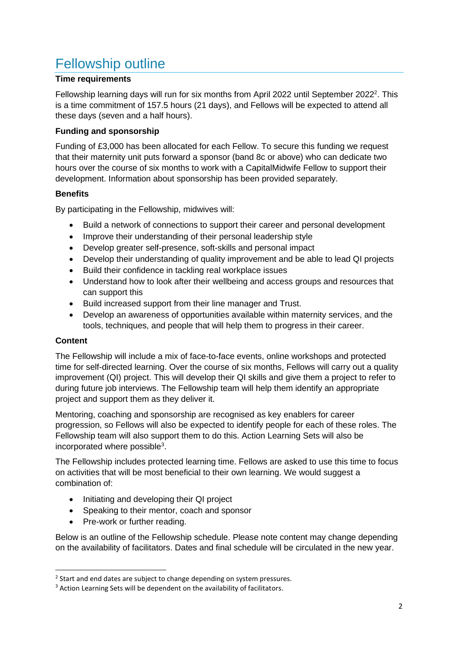## Fellowship outline

### **Time requirements**

Fellowship learning days will run for six months from April 2022 until September 2022<sup>2</sup>. This is a time commitment of 157.5 hours (21 days), and Fellows will be expected to attend all these days (seven and a half hours).

### **Funding and sponsorship**

Funding of £3,000 has been allocated for each Fellow. To secure this funding we request that their maternity unit puts forward a sponsor (band 8c or above) who can dedicate two hours over the course of six months to work with a CapitalMidwife Fellow to support their development. Information about sponsorship has been provided separately.

### **Benefits**

By participating in the Fellowship, midwives will:

- Build a network of connections to support their career and personal development
- Improve their understanding of their personal leadership style
- Develop greater self-presence, soft-skills and personal impact
- Develop their understanding of quality improvement and be able to lead QI projects
- Build their confidence in tackling real workplace issues
- Understand how to look after their wellbeing and access groups and resources that can support this
- Build increased support from their line manager and Trust.
- Develop an awareness of opportunities available within maternity services, and the tools, techniques, and people that will help them to progress in their career.

### **Content**

The Fellowship will include a mix of face-to-face events, online workshops and protected time for self-directed learning. Over the course of six months, Fellows will carry out a quality improvement (QI) project. This will develop their QI skills and give them a project to refer to during future job interviews. The Fellowship team will help them identify an appropriate project and support them as they deliver it.

Mentoring, coaching and sponsorship are recognised as key enablers for career progression, so Fellows will also be expected to identify people for each of these roles. The Fellowship team will also support them to do this. Action Learning Sets will also be incorporated where possible<sup>3</sup>.

The Fellowship includes protected learning time. Fellows are asked to use this time to focus on activities that will be most beneficial to their own learning. We would suggest a combination of:

- Initiating and developing their QI project
- Speaking to their mentor, coach and sponsor
- Pre-work or further reading.

Below is an outline of the Fellowship schedule. Please note content may change depending on the availability of facilitators. Dates and final schedule will be circulated in the new year.

<sup>&</sup>lt;sup>2</sup> Start and end dates are subject to change depending on system pressures.

<sup>&</sup>lt;sup>3</sup> Action Learning Sets will be dependent on the availability of facilitators.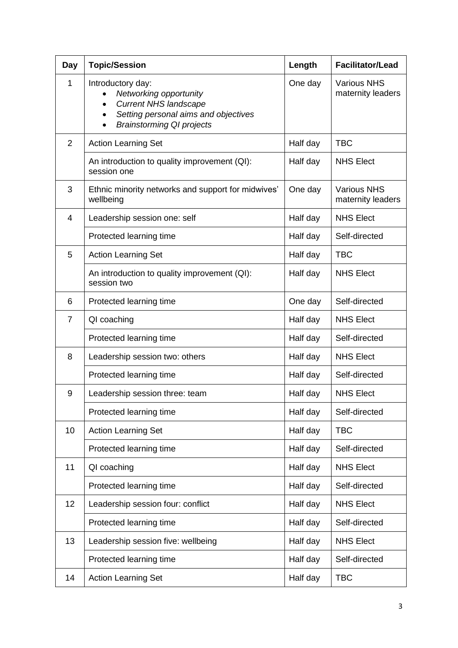| <b>Day</b>     | <b>Topic/Session</b>                                                                                                                                                 | Length   | <b>Facilitator/Lead</b>                 |
|----------------|----------------------------------------------------------------------------------------------------------------------------------------------------------------------|----------|-----------------------------------------|
| 1              | Introductory day:<br>Networking opportunity<br><b>Current NHS landscape</b><br>Setting personal aims and objectives<br>$\bullet$<br><b>Brainstorming QI projects</b> | One day  | <b>Various NHS</b><br>maternity leaders |
| $\overline{2}$ | <b>Action Learning Set</b>                                                                                                                                           | Half day | <b>TBC</b>                              |
|                | An introduction to quality improvement (QI):<br>session one                                                                                                          | Half day | <b>NHS Elect</b>                        |
| 3              | Ethnic minority networks and support for midwives'<br>wellbeing                                                                                                      | One day  | <b>Various NHS</b><br>maternity leaders |
| $\overline{4}$ | Leadership session one: self                                                                                                                                         | Half day | <b>NHS Elect</b>                        |
|                | Protected learning time                                                                                                                                              | Half day | Self-directed                           |
| 5              | <b>Action Learning Set</b>                                                                                                                                           | Half day | <b>TBC</b>                              |
|                | An introduction to quality improvement (QI):<br>session two                                                                                                          | Half day | <b>NHS Elect</b>                        |
| 6              | Protected learning time                                                                                                                                              | One day  | Self-directed                           |
| $\overline{7}$ | QI coaching                                                                                                                                                          | Half day | <b>NHS Elect</b>                        |
|                | Protected learning time                                                                                                                                              | Half day | Self-directed                           |
| 8              | Leadership session two: others                                                                                                                                       | Half day | <b>NHS Elect</b>                        |
|                | Protected learning time                                                                                                                                              | Half day | Self-directed                           |
| 9              | Leadership session three: team                                                                                                                                       | Half day | <b>NHS Elect</b>                        |
|                | Protected learning time                                                                                                                                              | Half day | Self-directed                           |
| 10             | <b>Action Learning Set</b>                                                                                                                                           | Half day | <b>TBC</b>                              |
|                | Protected learning time                                                                                                                                              | Half day | Self-directed                           |
| 11             | QI coaching                                                                                                                                                          | Half day | <b>NHS Elect</b>                        |
|                | Protected learning time                                                                                                                                              | Half day | Self-directed                           |
| 12             | Leadership session four: conflict                                                                                                                                    | Half day | <b>NHS Elect</b>                        |
|                | Protected learning time                                                                                                                                              | Half day | Self-directed                           |
| 13             | Leadership session five: wellbeing                                                                                                                                   | Half day | <b>NHS Elect</b>                        |
|                | Protected learning time                                                                                                                                              | Half day | Self-directed                           |
| 14             | <b>Action Learning Set</b>                                                                                                                                           | Half day | <b>TBC</b>                              |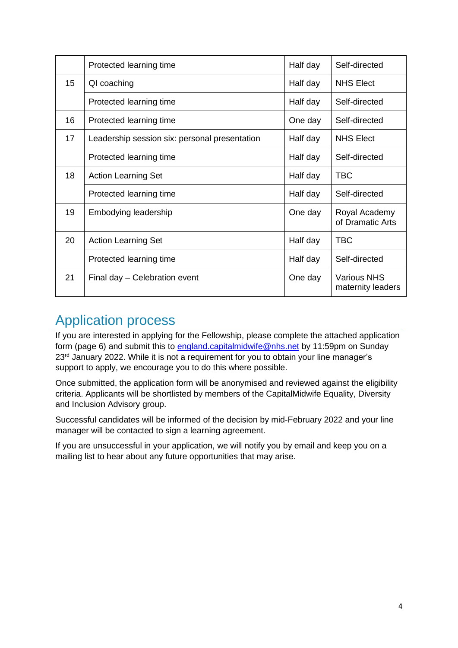|    | Protected learning time                       | Half day | Self-directed                           |
|----|-----------------------------------------------|----------|-----------------------------------------|
| 15 | QI coaching                                   | Half day | <b>NHS Elect</b>                        |
|    | Protected learning time                       | Half day | Self-directed                           |
| 16 | Protected learning time                       | One day  | Self-directed                           |
| 17 | Leadership session six: personal presentation | Half day | <b>NHS Elect</b>                        |
|    | Protected learning time                       | Half day | Self-directed                           |
| 18 | <b>Action Learning Set</b>                    | Half day | <b>TBC</b>                              |
|    | Protected learning time                       | Half day | Self-directed                           |
| 19 | Embodying leadership                          | One day  | Royal Academy<br>of Dramatic Arts       |
| 20 | <b>Action Learning Set</b>                    | Half day | <b>TBC</b>                              |
|    | Protected learning time                       | Half day | Self-directed                           |
| 21 | Final day – Celebration event                 | One day  | <b>Various NHS</b><br>maternity leaders |

### Application process

If you are interested in applying for the Fellowship, please complete the attached application form (page 6) and submit this to [england.capitalmidwife@nhs.net](mailto:england.capitalmidwife@nhs.net) by 11:59pm on Sunday 23<sup>rd</sup> January 2022. While it is not a requirement for you to obtain your line manager's support to apply, we encourage you to do this where possible.

Once submitted, the application form will be anonymised and reviewed against the eligibility criteria. Applicants will be shortlisted by members of the CapitalMidwife Equality, Diversity and Inclusion Advisory group.

Successful candidates will be informed of the decision by mid-February 2022 and your line manager will be contacted to sign a learning agreement.

If you are unsuccessful in your application, we will notify you by email and keep you on a mailing list to hear about any future opportunities that may arise.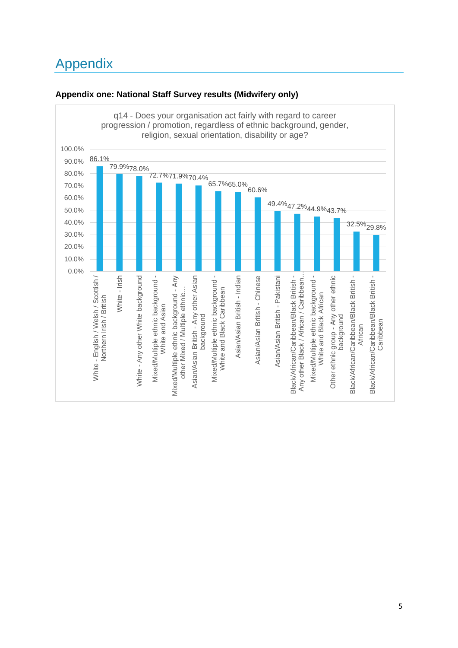# Appendix



### **Appendix one: National Staff Survey results (Midwifery only)**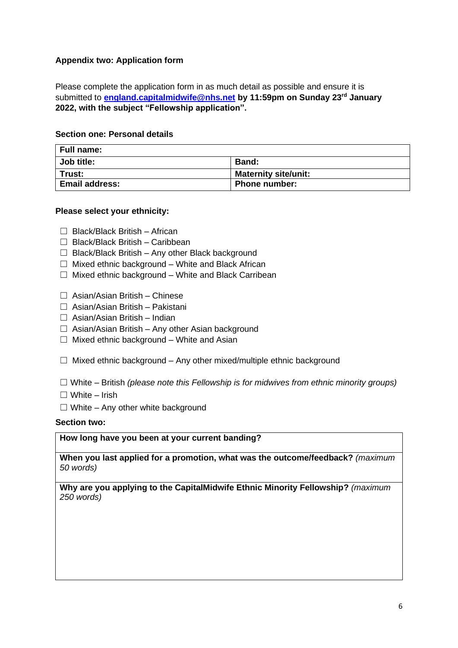### **Appendix two: Application form**

Please complete the application form in as much detail as possible and ensure it is submitted to **[england.capitalmidwife@nhs.net](mailto:england.capitalmidwife@nhs.net) by 11:59pm on Sunday 23rd January 2022, with the subject "Fellowship application".**

### **Section one: Personal details**

| Full name:            |                             |  |
|-----------------------|-----------------------------|--|
| Job title:            | <b>Band:</b>                |  |
| Trust:                | <b>Maternity site/unit:</b> |  |
| <b>Email address:</b> | <b>Phone number:</b>        |  |

### **Please select your ethnicity:**

- ☐ Black/Black British African
- ☐ Black/Black British Caribbean
- $\Box$  Black/Black British Any other Black background
- $\Box$  Mixed ethnic background White and Black African
- ☐ Mixed ethnic background White and Black Carribean
- ☐ Asian/Asian British Chinese
- ☐ Asian/Asian British Pakistani
- $\Box$  Asian/Asian British Indian
- $\Box$  Asian/Asian British Any other Asian background
- $\Box$  Mixed ethnic background White and Asian
- $\Box$  Mixed ethnic background Any other mixed/multiple ethnic background

☐ White – British *(please note this Fellowship is for midwives from ethnic minority groups)*

- $\Box$  White Irish
- $\Box$  White Any other white background

#### **Section two:**

**How long have you been at your current banding?**

**When you last applied for a promotion, what was the outcome/feedback?** *(maximum 50 words)*

**Why are you applying to the CapitalMidwife Ethnic Minority Fellowship?** *(maximum 250 words)*